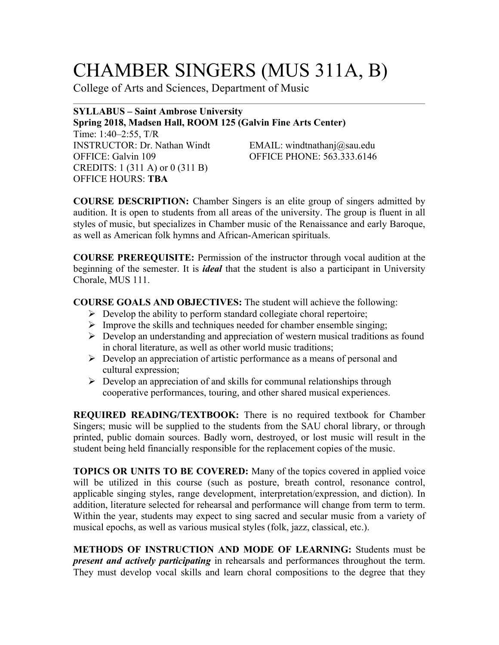# CHAMBER SINGERS (MUS 311A, B)

College of Arts and Sciences, Department of Music

## **SYLLABUS – Saint Ambrose University Spring 2018, Madsen Hall, ROOM 125 (Galvin Fine Arts Center)**

Time: 1:40–2:55, T/R INSTRUCTOR: Dr. Nathan Windt EMAIL: windtnathanj@sau.edu OFFICE: Galvin 109 OFFICE PHONE: 563.333.6146 CREDITS: 1 (311 A) or 0 (311 B) OFFICE HOURS: **TBA**

**COURSE DESCRIPTION:** Chamber Singers is an elite group of singers admitted by audition. It is open to students from all areas of the university. The group is fluent in all styles of music, but specializes in Chamber music of the Renaissance and early Baroque, as well as American folk hymns and African-American spirituals.

**COURSE PREREQUISITE:** Permission of the instructor through vocal audition at the beginning of the semester. It is *ideal* that the student is also a participant in University Chorale, MUS 111.

**COURSE GOALS AND OBJECTIVES:** The student will achieve the following:

- $\triangleright$  Develop the ability to perform standard collegiate choral repertoire;
- $\triangleright$  Improve the skills and techniques needed for chamber ensemble singing;
- $\triangleright$  Develop an understanding and appreciation of western musical traditions as found in choral literature, as well as other world music traditions;
- $\triangleright$  Develop an appreciation of artistic performance as a means of personal and cultural expression;
- $\triangleright$  Develop an appreciation of and skills for communal relationships through cooperative performances, touring, and other shared musical experiences.

**REQUIRED READING/TEXTBOOK:** There is no required textbook for Chamber Singers; music will be supplied to the students from the SAU choral library, or through printed, public domain sources. Badly worn, destroyed, or lost music will result in the student being held financially responsible for the replacement copies of the music.

**TOPICS OR UNITS TO BE COVERED:** Many of the topics covered in applied voice will be utilized in this course (such as posture, breath control, resonance control, applicable singing styles, range development, interpretation/expression, and diction). In addition, literature selected for rehearsal and performance will change from term to term. Within the year, students may expect to sing sacred and secular music from a variety of musical epochs, as well as various musical styles (folk, jazz, classical, etc.).

**METHODS OF INSTRUCTION AND MODE OF LEARNING:** Students must be *present and actively participating* in rehearsals and performances throughout the term. They must develop vocal skills and learn choral compositions to the degree that they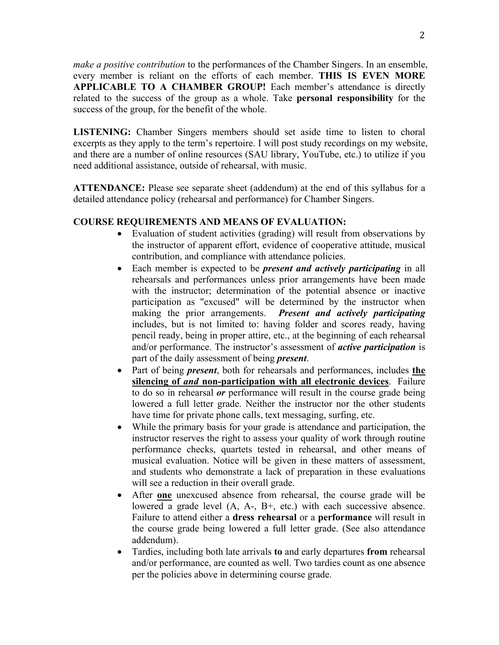*make a positive contribution* to the performances of the Chamber Singers. In an ensemble, every member is reliant on the efforts of each member. **THIS IS EVEN MORE APPLICABLE TO A CHAMBER GROUP!** Each member's attendance is directly related to the success of the group as a whole. Take **personal responsibility** for the success of the group, for the benefit of the whole.

**LISTENING:** Chamber Singers members should set aside time to listen to choral excerpts as they apply to the term's repertoire. I will post study recordings on my website, and there are a number of online resources (SAU library, YouTube, etc.) to utilize if you need additional assistance, outside of rehearsal, with music.

**ATTENDANCE:** Please see separate sheet (addendum) at the end of this syllabus for a detailed attendance policy (rehearsal and performance) for Chamber Singers.

## **COURSE REQUIREMENTS AND MEANS OF EVALUATION:**

- Evaluation of student activities (grading) will result from observations by the instructor of apparent effort, evidence of cooperative attitude, musical contribution, and compliance with attendance policies.
- Each member is expected to be *present and actively participating* in all rehearsals and performances unless prior arrangements have been made with the instructor; determination of the potential absence or inactive participation as "excused" will be determined by the instructor when making the prior arrangements. *Present and actively participating* includes, but is not limited to: having folder and scores ready, having pencil ready, being in proper attire, etc., at the beginning of each rehearsal and/or performance. The instructor's assessment of *active participation* is part of the daily assessment of being *present*.
- Part of being *present*, both for rehearsals and performances, includes **the silencing of** *and* **non-participation with all electronic devices**. Failure to do so in rehearsal *or* performance will result in the course grade being lowered a full letter grade. Neither the instructor nor the other students have time for private phone calls, text messaging, surfing, etc.
- While the primary basis for your grade is attendance and participation, the instructor reserves the right to assess your quality of work through routine performance checks, quartets tested in rehearsal, and other means of musical evaluation. Notice will be given in these matters of assessment, and students who demonstrate a lack of preparation in these evaluations will see a reduction in their overall grade.
- After **one** unexcused absence from rehearsal, the course grade will be lowered a grade level (A, A-, B+, etc.) with each successive absence. Failure to attend either a **dress rehearsal** or a **performance** will result in the course grade being lowered a full letter grade. (See also attendance addendum).
- Tardies, including both late arrivals **to** and early departures **from** rehearsal and/or performance, are counted as well. Two tardies count as one absence per the policies above in determining course grade.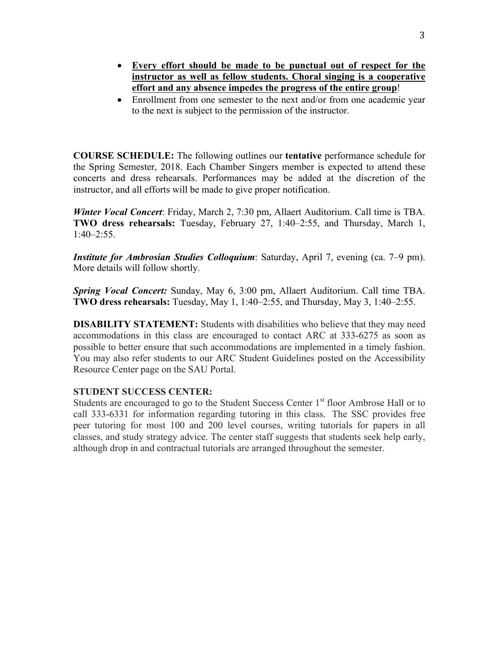- **Every effort should be made to be punctual out of respect for the instructor as well as fellow students. Choral singing is a cooperative effort and any absence impedes the progress of the entire group**!
- Enrollment from one semester to the next and/or from one academic year to the next is subject to the permission of the instructor.

**COURSE SCHEDULE:** The following outlines our **tentative** performance schedule for the Spring Semester, 2018. Each Chamber Singers member is expected to attend these concerts and dress rehearsals. Performances may be added at the discretion of the instructor, and all efforts will be made to give proper notification.

*Winter Vocal Concert*: Friday, March 2, 7:30 pm, Allaert Auditorium. Call time is TBA. **TWO dress rehearsals:** Tuesday, February 27, 1:40–2:55, and Thursday, March 1,  $1.40 - 2.55$ 

*Institute for Ambrosian Studies Colloquium*: Saturday, April 7, evening (ca. 7–9 pm). More details will follow shortly.

*Spring Vocal Concert:* Sunday, May 6, 3:00 pm, Allaert Auditorium. Call time TBA. **TWO dress rehearsals:** Tuesday, May 1, 1:40–2:55, and Thursday, May 3, 1:40–2:55.

**DISABILITY STATEMENT:** Students with disabilities who believe that they may need accommodations in this class are encouraged to contact ARC at 333-6275 as soon as possible to better ensure that such accommodations are implemented in a timely fashion. You may also refer students to our ARC Student Guidelines posted on the Accessibility Resource Center page on the SAU Portal.

### **STUDENT SUCCESS CENTER:**

Students are encouraged to go to the Student Success Center 1<sup>st</sup> floor Ambrose Hall or to call 333-6331 for information regarding tutoring in this class. The SSC provides free peer tutoring for most 100 and 200 level courses, writing tutorials for papers in all classes, and study strategy advice. The center staff suggests that students seek help early, although drop in and contractual tutorials are arranged throughout the semester.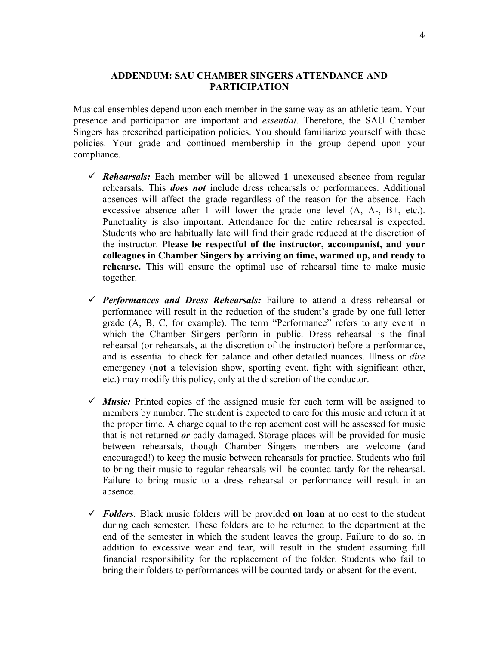### **ADDENDUM: SAU CHAMBER SINGERS ATTENDANCE AND PARTICIPATION**

Musical ensembles depend upon each member in the same way as an athletic team. Your presence and participation are important and *essential*. Therefore, the SAU Chamber Singers has prescribed participation policies. You should familiarize yourself with these policies. Your grade and continued membership in the group depend upon your compliance.

- ü *Rehearsals:* Each member will be allowed **1** unexcused absence from regular rehearsals. This *does not* include dress rehearsals or performances. Additional absences will affect the grade regardless of the reason for the absence. Each excessive absence after 1 will lower the grade one level  $(A, A-, B+, etc.).$ Punctuality is also important. Attendance for the entire rehearsal is expected. Students who are habitually late will find their grade reduced at the discretion of the instructor. **Please be respectful of the instructor, accompanist, and your colleagues in Chamber Singers by arriving on time, warmed up, and ready to rehearse.** This will ensure the optimal use of rehearsal time to make music together.
- ü *Performances and Dress Rehearsals:* Failure to attend a dress rehearsal or performance will result in the reduction of the student's grade by one full letter grade (A, B, C, for example). The term "Performance" refers to any event in which the Chamber Singers perform in public. Dress rehearsal is the final rehearsal (or rehearsals, at the discretion of the instructor) before a performance, and is essential to check for balance and other detailed nuances. Illness or *dire* emergency (**not** a television show, sporting event, fight with significant other, etc.) may modify this policy, only at the discretion of the conductor.
- $\checkmark$  *Music:* Printed copies of the assigned music for each term will be assigned to members by number. The student is expected to care for this music and return it at the proper time. A charge equal to the replacement cost will be assessed for music that is not returned *or* badly damaged. Storage places will be provided for music between rehearsals, though Chamber Singers members are welcome (and encouraged!) to keep the music between rehearsals for practice. Students who fail to bring their music to regular rehearsals will be counted tardy for the rehearsal. Failure to bring music to a dress rehearsal or performance will result in an absence.
- $\checkmark$  Folders: Black music folders will be provided on loan at no cost to the student during each semester. These folders are to be returned to the department at the end of the semester in which the student leaves the group. Failure to do so, in addition to excessive wear and tear, will result in the student assuming full financial responsibility for the replacement of the folder. Students who fail to bring their folders to performances will be counted tardy or absent for the event.